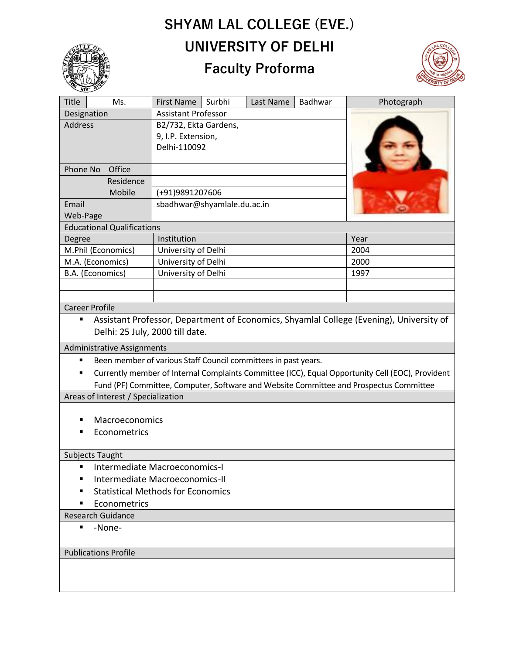## **SHYAM LAL COLLEGE (EVE.) UNIVERSITY OF DELHI**



## **Faculty Proforma**



| Title                                                                                        | Ms.       | <b>First Name</b>           | Surbhi | Last Name | Badhwar | Photograph |
|----------------------------------------------------------------------------------------------|-----------|-----------------------------|--------|-----------|---------|------------|
| Designation                                                                                  |           | <b>Assistant Professor</b>  |        |           |         |            |
| Address                                                                                      |           | B2/732, Ekta Gardens,       |        |           |         |            |
|                                                                                              |           | 9, I.P. Extension,          |        |           |         |            |
|                                                                                              |           | Delhi-110092                |        |           |         |            |
|                                                                                              |           |                             |        |           |         |            |
| Office<br>Phone No                                                                           |           |                             |        |           |         |            |
|                                                                                              | Residence |                             |        |           |         |            |
| Mobile                                                                                       |           | (+91)9891207606             |        |           |         |            |
| Email                                                                                        |           | sbadhwar@shyamlale.du.ac.in |        |           |         |            |
| Web-Page                                                                                     |           |                             |        |           |         |            |
| <b>Educational Qualifications</b>                                                            |           |                             |        |           |         |            |
| Degree                                                                                       |           | Institution                 |        |           | Year    |            |
| M.Phil (Economics)                                                                           |           | University of Delhi         |        |           |         | 2004       |
| M.A. (Economics)                                                                             |           | University of Delhi         |        |           |         | 2000       |
| B.A. (Economics)                                                                             |           | University of Delhi         |        |           | 1997    |            |
|                                                                                              |           |                             |        |           |         |            |
|                                                                                              |           |                             |        |           |         |            |
| <b>Career Profile</b>                                                                        |           |                             |        |           |         |            |
| Assistant Professor, Department of Economics, Shyamlal College (Evening), University of<br>٠ |           |                             |        |           |         |            |
| Delhi: 25 July, 2000 till date.                                                              |           |                             |        |           |         |            |

Administrative Assignments

- Been member of various Staff Council committees in past years.
- Currently member of Internal Complaints Committee (ICC), Equal Opportunity Cell (EOC), Provident Fund (PF) Committee, Computer, Software and Website Committee and Prospectus Committee

Areas of Interest / Specialization

- Macroeconomics
- Econometrics

## Subjects Taught

- Intermediate Macroeconomics-I
- Intermediate Macroeconomics-II
- Statistical Methods for Economics
- Econometrics
- Research Guidance
	- -None-

## Publications Profile